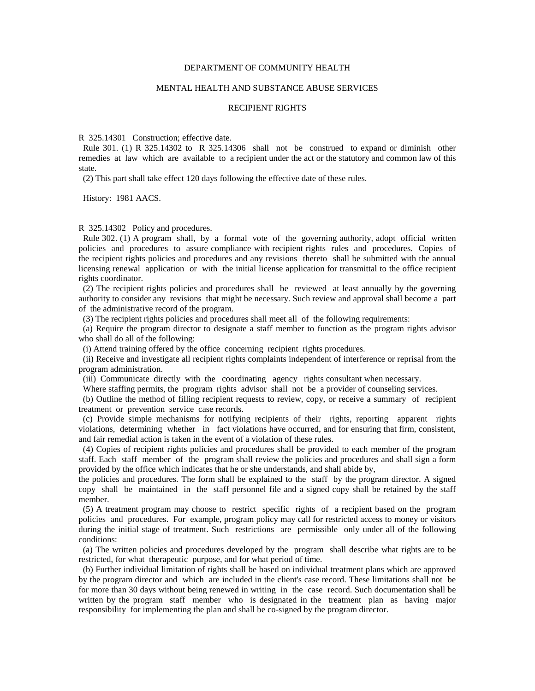## DEPARTMENT OF COMMUNITY HEALTH

## MENTAL HEALTH AND SUBSTANCE ABUSE SERVICES

## RECIPIENT RIGHTS

R 325.14301 Construction; effective date.

 Rule 301. (1) R 325.14302 to R 325.14306 shall not be construed to expand or diminish other remedies at law which are available to a recipient under the act or the statutory and common law of this state.

(2) This part shall take effect 120 days following the effective date of these rules.

History: 1981 AACS.

## R 325.14302 Policy and procedures.

 Rule 302. (1) A program shall, by a formal vote of the governing authority, adopt official written policies and procedures to assure compliance with recipient rights rules and procedures. Copies of the recipient rights policies and procedures and any revisions thereto shall be submitted with the annual licensing renewal application or with the initial license application for transmittal to the office recipient rights coordinator.

 (2) The recipient rights policies and procedures shall be reviewed at least annually by the governing authority to consider any revisions that might be necessary. Such review and approval shall become a part of the administrative record of the program.

(3) The recipient rights policies and procedures shall meet all of the following requirements:

 (a) Require the program director to designate a staff member to function as the program rights advisor who shall do all of the following:

(i) Attend training offered by the office concerning recipient rights procedures.

 (ii) Receive and investigate all recipient rights complaints independent of interference or reprisal from the program administration.

(iii) Communicate directly with the coordinating agency rights consultant when necessary.

Where staffing permits, the program rights advisor shall not be a provider of counseling services.

 (b) Outline the method of filling recipient requests to review, copy, or receive a summary of recipient treatment or prevention service case records.

 (c) Provide simple mechanisms for notifying recipients of their rights, reporting apparent rights violations, determining whether in fact violations have occurred, and for ensuring that firm, consistent, and fair remedial action is taken in the event of a violation of these rules.

 (4) Copies of recipient rights policies and procedures shall be provided to each member of the program staff. Each staff member of the program shall review the policies and procedures and shall sign a form provided by the office which indicates that he or she understands, and shall abide by,

the policies and procedures. The form shall be explained to the staff by the program director. A signed copy shall be maintained in the staff personnel file and a signed copy shall be retained by the staff member.

 (5) A treatment program may choose to restrict specific rights of a recipient based on the program policies and procedures. For example, program policy may call for restricted access to money or visitors during the initial stage of treatment. Such restrictions are permissible only under all of the following conditions:

 (a) The written policies and procedures developed by the program shall describe what rights are to be restricted, for what therapeutic purpose, and for what period of time.

 (b) Further individual limitation of rights shall be based on individual treatment plans which are approved by the program director and which are included in the client's case record. These limitations shall not be for more than 30 days without being renewed in writing in the case record. Such documentation shall be written by the program staff member who is designated in the treatment plan as having major responsibility for implementing the plan and shall be co-signed by the program director.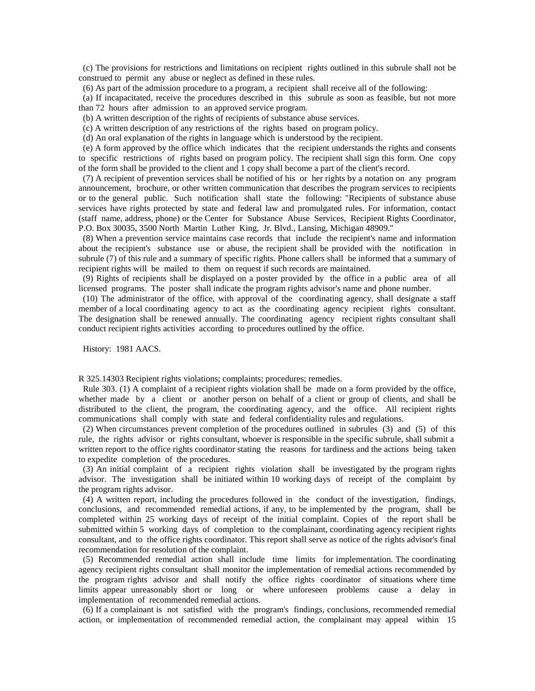(c) The provisions for restrictions and limitations on recipient rights outlined in this subrule shall not be construed to permit any abuse or neglect as defined in these rules.

(6) As part of the admission procedure to a program, a recipient shall receive all of the following:

 (a) If incapacitated, receive the procedures described in this subrule as soon as feasible, but not more than 72 hours after admission to an approved service program.

(b) A written description of the rights of recipients of substance abuse services.

(c) A written description of any restrictions of the rights based on program policy.

(d) An oral explanation of the rights in language which is understood by the recipient.

 (e) A form approved by the office which indicates that the recipient understands the rights and consents to specific restrictions of rights based on program policy. The recipient shall sign this form. One copy of the form shall be provided to the client and 1 copy shall become a part of the client's record.

 (7) A recipient of prevention services shall be notified of his or her rights by a notation on any program announcement, brochure, or other written communication that describes the program services to recipients or to the general public. Such notification shall state the following: "Recipients of substance abuse services have rights protected by state and federal law and promulgated rules. For information, contact (staff name, address, phone) or the Center for Substance Abuse Services, Recipient Rights Coordinator, P.O. Box 30035, 3500 North Martin Luther King, Jr. Blvd., Lansing, Michigan 48909."

 (8) When a prevention service maintains case records that include the recipient's name and information about the recipient's substance use or abuse, the recipient shall be provided with the notification in subrule (7) of this rule and a summary of specific rights. Phone callers shall be informed that a summary of recipient rights will be mailed to them on request if such records are maintained.

 (9) Rights of recipients shall be displayed on a poster provided by the office in a public area of all licensed programs. The poster shall indicate the program rights advisor's name and phone number.

 (10) The administrator of the office, with approval of the coordinating agency, shall designate a staff member of a local coordinating agency to act as the coordinating agency recipient rights consultant. The designation shall be renewed annually. The coordinating agency recipient rights consultant shall conduct recipient rights activities according to procedures outlined by the office.

History: 1981 AACS.

R 325.14303 Recipient rights violations; complaints; procedures; remedies.

 Rule 303. (1) A complaint of a recipient rights violation shall be made on a form provided by the office, whether made by a client or another person on behalf of a client or group of clients, and shall be distributed to the client, the program, the coordinating agency, and the office. All recipient rights communications shall comply with state and federal confidentiality rules and regulations.

 (2) When circumstances prevent completion of the procedures outlined in subrules (3) and (5) of this rule, the rights advisor or rights consultant, whoever is responsible in the specific subrule, shall submit a written report to the office rights coordinator stating the reasons for tardiness and the actions being taken to expedite completion of the procedures.

 (3) An initial complaint of a recipient rights violation shall be investigated by the program rights advisor. The investigation shall be initiated within 10 working days of receipt of the complaint by the program rights advisor.

 (4) A written report, including the procedures followed in the conduct of the investigation, findings, conclusions, and recommended remedial actions, if any, to be implemented by the program, shall be completed within 25 working days of receipt of the initial complaint. Copies of the report shall be submitted within 5 working days of completion to the complainant, coordinating agency recipient rights consultant, and to the office rights coordinator. This report shall serve as notice of the rights advisor's final recommendation for resolution of the complaint.

 (5) Recommended remedial action shall include time limits for implementation. The coordinating agency recipient rights consultant shall monitor the implementation of remedial actions recommended by the program rights advisor and shall notify the office rights coordinator of situations where time limits appear unreasonably short or long or where unforeseen problems cause a delay in implementation of recommended remedial actions.

 (6) If a complainant is not satisfied with the program's findings, conclusions, recommended remedial action, or implementation of recommended remedial action, the complainant may appeal within 15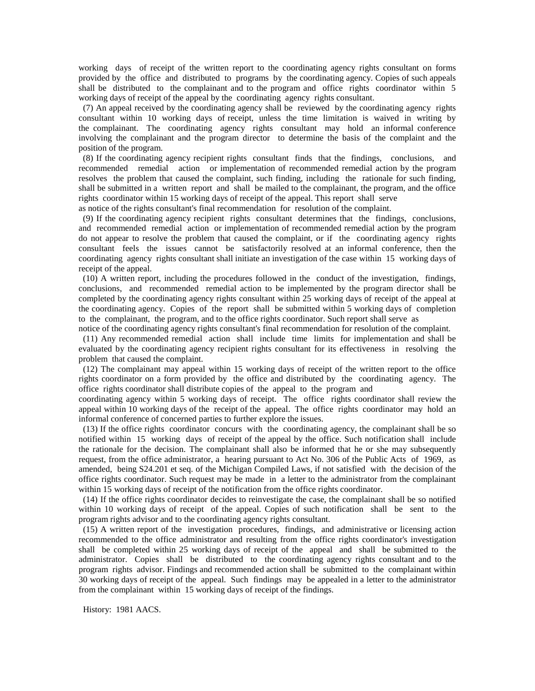working days of receipt of the written report to the coordinating agency rights consultant on forms provided by the office and distributed to programs by the coordinating agency. Copies of such appeals shall be distributed to the complainant and to the program and office rights coordinator within 5 working days of receipt of the appeal by the coordinating agency rights consultant.

 (7) An appeal received by the coordinating agency shall be reviewed by the coordinating agency rights consultant within 10 working days of receipt, unless the time limitation is waived in writing by the complainant. The coordinating agency rights consultant may hold an informal conference involving the complainant and the program director to determine the basis of the complaint and the position of the program.

 (8) If the coordinating agency recipient rights consultant finds that the findings, conclusions, and recommended remedial action or implementation of recommended remedial action by the program resolves the problem that caused the complaint, such finding, including the rationale for such finding, shall be submitted in a written report and shall be mailed to the complainant, the program, and the office rights coordinator within 15 working days of receipt of the appeal. This report shall serve

as notice of the rights consultant's final recommendation for resolution of the complaint.

 (9) If the coordinating agency recipient rights consultant determines that the findings, conclusions, and recommended remedial action or implementation of recommended remedial action by the program do not appear to resolve the problem that caused the complaint, or if the coordinating agency rights consultant feels the issues cannot be satisfactorily resolved at an informal conference, then the coordinating agency rights consultant shall initiate an investigation of the case within 15 working days of receipt of the appeal.

 (10) A written report, including the procedures followed in the conduct of the investigation, findings, conclusions, and recommended remedial action to be implemented by the program director shall be completed by the coordinating agency rights consultant within 25 working days of receipt of the appeal at the coordinating agency. Copies of the report shall be submitted within 5 working days of completion to the complainant, the program, and to the office rights coordinator. Such report shall serve as

notice of the coordinating agency rights consultant's final recommendation for resolution of the complaint. (11) Any recommended remedial action shall include time limits for implementation and shall be evaluated by the coordinating agency recipient rights consultant for its effectiveness in resolving the problem that caused the complaint.

 (12) The complainant may appeal within 15 working days of receipt of the written report to the office rights coordinator on a form provided by the office and distributed by the coordinating agency. The office rights coordinator shall distribute copies of the appeal to the program and

coordinating agency within 5 working days of receipt. The office rights coordinator shall review the appeal within 10 working days of the receipt of the appeal. The office rights coordinator may hold an informal conference of concerned parties to further explore the issues.

 (13) If the office rights coordinator concurs with the coordinating agency, the complainant shall be so notified within 15 working days of receipt of the appeal by the office. Such notification shall include the rationale for the decision. The complainant shall also be informed that he or she may subsequently request, from the office administrator, a hearing pursuant to Act No. 306 of the Public Acts of 1969, as amended, being S24.201 et seq. of the Michigan Compiled Laws, if not satisfied with the decision of the office rights coordinator. Such request may be made in a letter to the administrator from the complainant within 15 working days of receipt of the notification from the office rights coordinator.

 (14) If the office rights coordinator decides to reinvestigate the case, the complainant shall be so notified within 10 working days of receipt of the appeal. Copies of such notification shall be sent to the program rights advisor and to the coordinating agency rights consultant.

 (15) A written report of the investigation procedures, findings, and administrative or licensing action recommended to the office administrator and resulting from the office rights coordinator's investigation shall be completed within 25 working days of receipt of the appeal and shall be submitted to the administrator. Copies shall be distributed to the coordinating agency rights consultant and to the program rights advisor. Findings and recommended action shall be submitted to the complainant within 30 working days of receipt of the appeal. Such findings may be appealed in a letter to the administrator from the complainant within 15 working days of receipt of the findings.

History: 1981 AACS.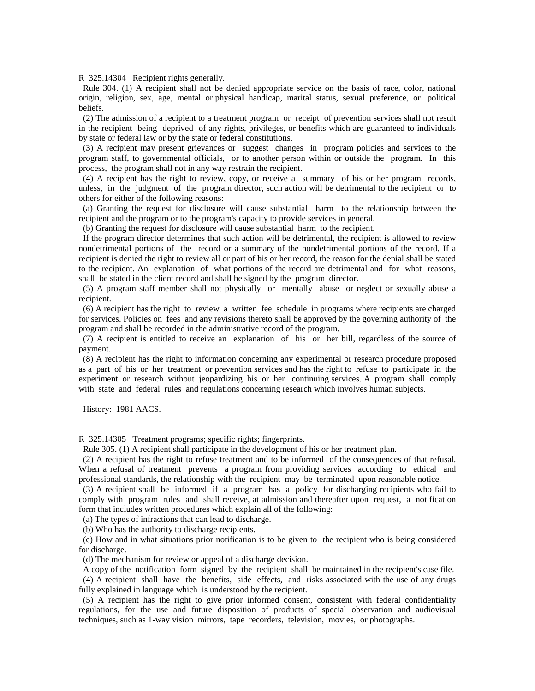R 325.14304 Recipient rights generally.

 Rule 304. (1) A recipient shall not be denied appropriate service on the basis of race, color, national origin, religion, sex, age, mental or physical handicap, marital status, sexual preference, or political beliefs.

 (2) The admission of a recipient to a treatment program or receipt of prevention services shall not result in the recipient being deprived of any rights, privileges, or benefits which are guaranteed to individuals by state or federal law or by the state or federal constitutions.

 (3) A recipient may present grievances or suggest changes in program policies and services to the program staff, to governmental officials, or to another person within or outside the program. In this process, the program shall not in any way restrain the recipient.

 (4) A recipient has the right to review, copy, or receive a summary of his or her program records, unless, in the judgment of the program director, such action will be detrimental to the recipient or to others for either of the following reasons:

 (a) Granting the request for disclosure will cause substantial harm to the relationship between the recipient and the program or to the program's capacity to provide services in general.

(b) Granting the request for disclosure will cause substantial harm to the recipient.

 If the program director determines that such action will be detrimental, the recipient is allowed to review nondetrimental portions of the record or a summary of the nondetrimental portions of the record. If a recipient is denied the right to review all or part of his or her record, the reason for the denial shall be stated to the recipient. An explanation of what portions of the record are detrimental and for what reasons, shall be stated in the client record and shall be signed by the program director.

 (5) A program staff member shall not physically or mentally abuse or neglect or sexually abuse a recipient.

 (6) A recipient has the right to review a written fee schedule in programs where recipients are charged for services. Policies on fees and any revisions thereto shall be approved by the governing authority of the program and shall be recorded in the administrative record of the program.

 (7) A recipient is entitled to receive an explanation of his or her bill, regardless of the source of payment.

 (8) A recipient has the right to information concerning any experimental or research procedure proposed as a part of his or her treatment or prevention services and has the right to refuse to participate in the experiment or research without jeopardizing his or her continuing services. A program shall comply with state and federal rules and regulations concerning research which involves human subjects.

History: 1981 AACS.

R 325.14305 Treatment programs; specific rights; fingerprints.

Rule 305. (1) A recipient shall participate in the development of his or her treatment plan.

 (2) A recipient has the right to refuse treatment and to be informed of the consequences of that refusal. When a refusal of treatment prevents a program from providing services according to ethical and professional standards, the relationship with the recipient may be terminated upon reasonable notice.

 (3) A recipient shall be informed if a program has a policy for discharging recipients who fail to comply with program rules and shall receive, at admission and thereafter upon request, a notification form that includes written procedures which explain all of the following:

(a) The types of infractions that can lead to discharge.

(b) Who has the authority to discharge recipients.

 (c) How and in what situations prior notification is to be given to the recipient who is being considered for discharge.

(d) The mechanism for review or appeal of a discharge decision.

A copy of the notification form signed by the recipient shall be maintained in the recipient's case file.

 (4) A recipient shall have the benefits, side effects, and risks associated with the use of any drugs fully explained in language which is understood by the recipient.

 (5) A recipient has the right to give prior informed consent, consistent with federal confidentiality regulations, for the use and future disposition of products of special observation and audiovisual techniques, such as 1-way vision mirrors, tape recorders, television, movies, or photographs.